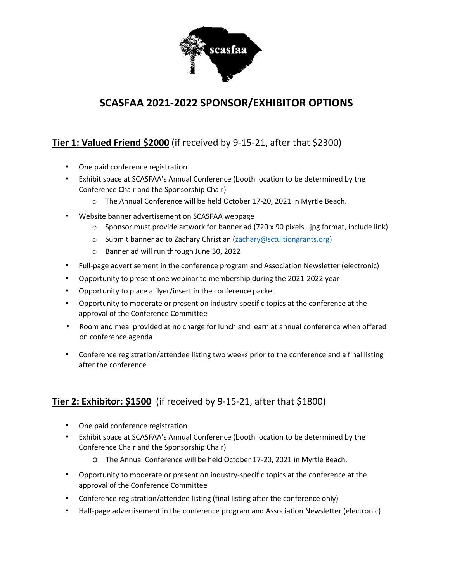

# **SCASFAA 2021-2022 SPONSOR/EXHIBITOR OPTIONS**

## **Tier 1: Valued Friend \$2000** (if received by 9-15-21, after that \$2300)

- One paid conference registration
- Exhibit space at SCASFAA's Annual Conference (booth location to be determined by the Conference Chair and the Sponsorship Chair)
	- o The Annual Conference will be held October 17-20, 2021 in Myrtle Beach.
- Website banner advertisement on SCASFAA webpage
	- $\circ$  Sponsor must provide artwork for banner ad (720 x 90 pixels, .jpg format, include link)
	- o Submit banner ad to Zachary Christian [\(zachary@sctuitiongrants.org\)](mailto:zachary@sctuitiongrants.org)
	- o Banner ad will run through June 30, 2022
- Full-page advertisement in the conference program and Association Newsletter (electronic)
- Opportunity to present one webinar to membership during the 2021-2022 year
- Opportunity to place a flyer/insert in the conference packet
- Opportunity to moderate or present on industry-specific topics at the conference at the approval of the Conference Committee
- Room and meal provided at no charge for lunch and learn at annual conference when offered on conference agenda
- Conference registration/attendee listing two weeks prior to the conference and a final listing after the conference

## **Tier 2: Exhibitor: \$1500** (if received by 9-15-21, after that \$1800)

- One paid conference registration
- Exhibit space at SCASFAA's Annual Conference (booth location to be determined by the Conference Chair and the Sponsorship Chair)
	- o The Annual Conference will be held October 17-20, 2021 in Myrtle Beach.
- Opportunity to moderate or present on industry-specific topics at the conference at the approval of the Conference Committee
- Conference registration/attendee listing (final listing after the conference only)
- Half-page advertisement in the conference program and Association Newsletter (electronic)